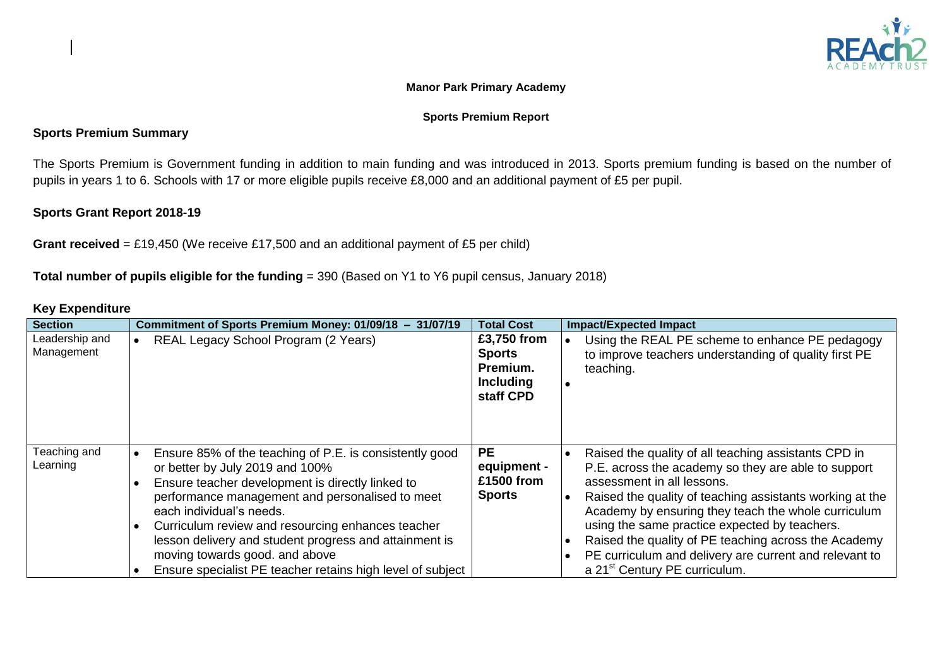

### **Manor Park Primary Academy**

#### **Sports Premium Report**

# **Sports Premium Summary**

The Sports Premium is Government funding in addition to main funding and was introduced in 2013. Sports premium funding is based on the number of pupils in years 1 to 6. Schools with 17 or more eligible pupils receive £8,000 and an additional payment of £5 per pupil.

#### **Sports Grant Report 2018-19**

**Grant received** = £19,450 (We receive £17,500 and an additional payment of £5 per child)

**Total number of pupils eligible for the funding** = 390 (Based on Y1 to Y6 pupil census, January 2018)

# **Key Expenditure**

| <b>Section</b>               | Commitment of Sports Premium Money: 01/09/18 -<br>31/07/19                                                                                                                                                                                                                                                                                                                                                                                   | <b>Total Cost</b>                                                         | <b>Impact/Expected Impact</b>                                                                                                                                                                                                                                                                                                                                                                                                                                                |
|------------------------------|----------------------------------------------------------------------------------------------------------------------------------------------------------------------------------------------------------------------------------------------------------------------------------------------------------------------------------------------------------------------------------------------------------------------------------------------|---------------------------------------------------------------------------|------------------------------------------------------------------------------------------------------------------------------------------------------------------------------------------------------------------------------------------------------------------------------------------------------------------------------------------------------------------------------------------------------------------------------------------------------------------------------|
| Leadership and<br>Management | REAL Legacy School Program (2 Years)<br>$\bullet$                                                                                                                                                                                                                                                                                                                                                                                            | £3,750 from<br><b>Sports</b><br>Premium.<br><b>Including</b><br>staff CPD | Using the REAL PE scheme to enhance PE pedagogy<br>to improve teachers understanding of quality first PE<br>teaching.                                                                                                                                                                                                                                                                                                                                                        |
| Teaching and<br>_earning     | Ensure 85% of the teaching of P.E. is consistently good<br>or better by July 2019 and 100%<br>Ensure teacher development is directly linked to<br>performance management and personalised to meet<br>each individual's needs.<br>Curriculum review and resourcing enhances teacher<br>lesson delivery and student progress and attainment is<br>moving towards good. and above<br>Ensure specialist PE teacher retains high level of subject | <b>PE</b><br>equipment -<br>£1500 from<br><b>Sports</b>                   | Raised the quality of all teaching assistants CPD in<br>P.E. across the academy so they are able to support<br>assessment in all lessons.<br>Raised the quality of teaching assistants working at the<br>Academy by ensuring they teach the whole curriculum<br>using the same practice expected by teachers.<br>Raised the quality of PE teaching across the Academy<br>PE curriculum and delivery are current and relevant to<br>a 21 <sup>st</sup> Century PE curriculum. |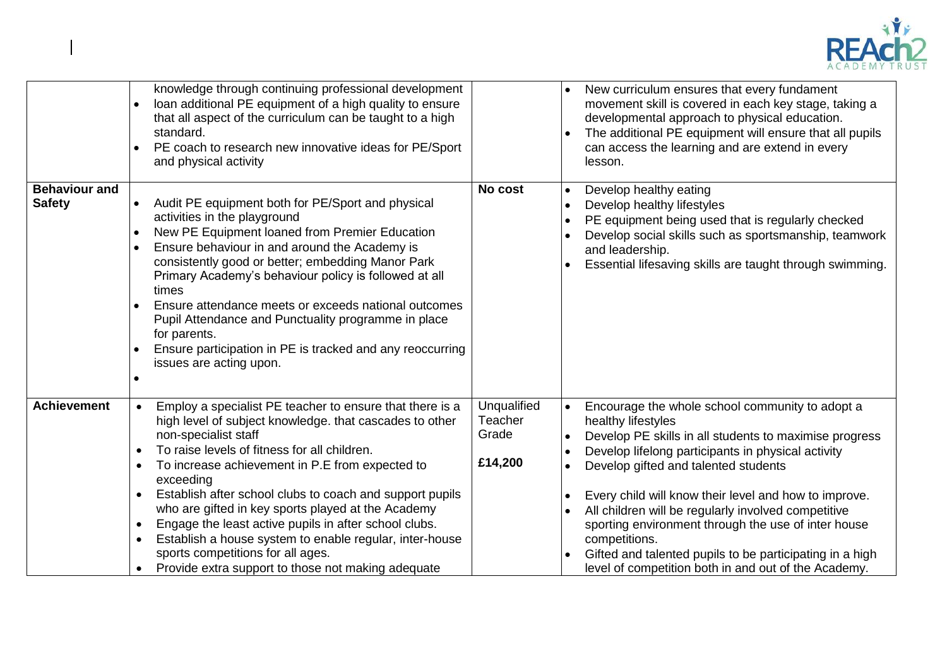

|                                       | knowledge through continuing professional development<br>loan additional PE equipment of a high quality to ensure<br>that all aspect of the curriculum can be taught to a high<br>standard.<br>PE coach to research new innovative ideas for PE/Sport<br>and physical activity                                                                                                                                                                                                                                                                                                                                                                                             |                                            | New curriculum ensures that every fundament<br>movement skill is covered in each key stage, taking a<br>developmental approach to physical education.<br>The additional PE equipment will ensure that all pupils<br>can access the learning and are extend in every<br>lesson.                                                                                                                                                                                                                                                                                                   |
|---------------------------------------|----------------------------------------------------------------------------------------------------------------------------------------------------------------------------------------------------------------------------------------------------------------------------------------------------------------------------------------------------------------------------------------------------------------------------------------------------------------------------------------------------------------------------------------------------------------------------------------------------------------------------------------------------------------------------|--------------------------------------------|----------------------------------------------------------------------------------------------------------------------------------------------------------------------------------------------------------------------------------------------------------------------------------------------------------------------------------------------------------------------------------------------------------------------------------------------------------------------------------------------------------------------------------------------------------------------------------|
| <b>Behaviour and</b><br><b>Safety</b> | Audit PE equipment both for PE/Sport and physical<br>activities in the playground<br>New PE Equipment loaned from Premier Education<br>Ensure behaviour in and around the Academy is<br>consistently good or better; embedding Manor Park<br>Primary Academy's behaviour policy is followed at all<br>times<br>Ensure attendance meets or exceeds national outcomes<br>Pupil Attendance and Punctuality programme in place<br>for parents.<br>Ensure participation in PE is tracked and any reoccurring<br>issues are acting upon.                                                                                                                                         | No cost                                    | Develop healthy eating<br>$\bullet$<br>Develop healthy lifestyles<br>PE equipment being used that is regularly checked<br>Develop social skills such as sportsmanship, teamwork<br>and leadership.<br>Essential lifesaving skills are taught through swimming.                                                                                                                                                                                                                                                                                                                   |
| <b>Achievement</b>                    | Employ a specialist PE teacher to ensure that there is a<br>high level of subject knowledge. that cascades to other<br>non-specialist staff<br>To raise levels of fitness for all children.<br>$\bullet$<br>To increase achievement in P.E from expected to<br>$\bullet$<br>exceeding<br>Establish after school clubs to coach and support pupils<br>$\bullet$<br>who are gifted in key sports played at the Academy<br>Engage the least active pupils in after school clubs.<br>$\bullet$<br>Establish a house system to enable regular, inter-house<br>$\bullet$<br>sports competitions for all ages.<br>Provide extra support to those not making adequate<br>$\bullet$ | Unqualified<br>Teacher<br>Grade<br>£14,200 | Encourage the whole school community to adopt a<br>$\bullet$<br>healthy lifestyles<br>Develop PE skills in all students to maximise progress<br>$\bullet$<br>Develop lifelong participants in physical activity<br>$\bullet$<br>Develop gifted and talented students<br>Every child will know their level and how to improve.<br>All children will be regularly involved competitive<br>sporting environment through the use of inter house<br>competitions.<br>Gifted and talented pupils to be participating in a high<br>level of competition both in and out of the Academy. |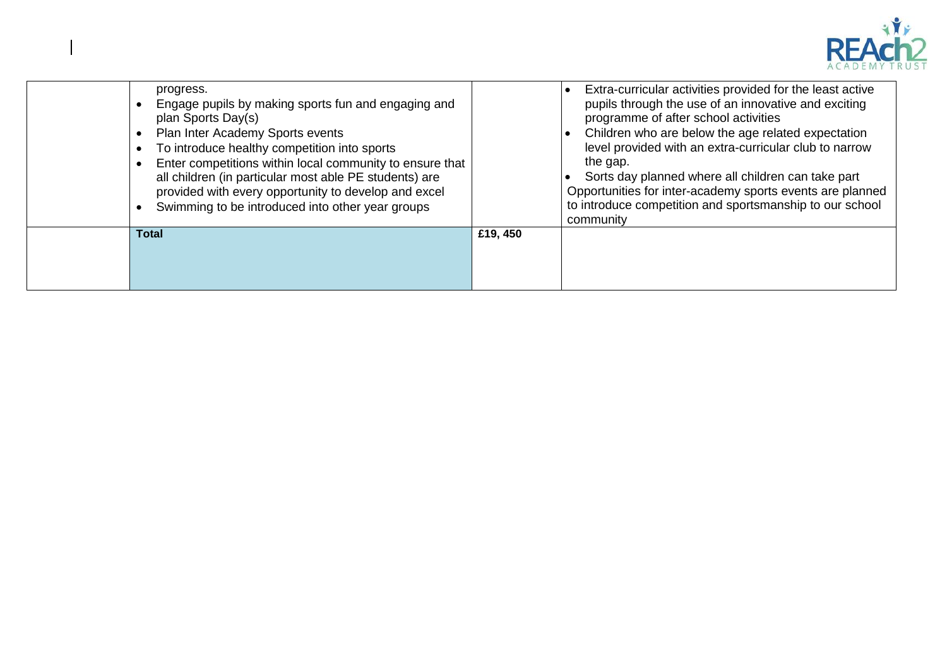

| progress.<br>Engage pupils by making sports fun and engaging and<br>plan Sports Day(s)<br>Plan Inter Academy Sports events<br>To introduce healthy competition into sports<br>Enter competitions within local community to ensure that<br>all children (in particular most able PE students) are<br>provided with every opportunity to develop and excel<br>Swimming to be introduced into other year groups |          | Extra-curricular activities provided for the least active<br>pupils through the use of an innovative and exciting<br>programme of after school activities<br>Children who are below the age related expectation<br>level provided with an extra-curricular club to narrow<br>the gap.<br>Sorts day planned where all children can take part<br>Opportunities for inter-academy sports events are planned<br>to introduce competition and sportsmanship to our school<br>community |
|--------------------------------------------------------------------------------------------------------------------------------------------------------------------------------------------------------------------------------------------------------------------------------------------------------------------------------------------------------------------------------------------------------------|----------|-----------------------------------------------------------------------------------------------------------------------------------------------------------------------------------------------------------------------------------------------------------------------------------------------------------------------------------------------------------------------------------------------------------------------------------------------------------------------------------|
| Total                                                                                                                                                                                                                                                                                                                                                                                                        | £19, 450 |                                                                                                                                                                                                                                                                                                                                                                                                                                                                                   |